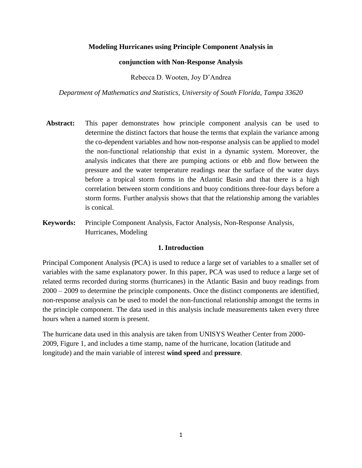# **Modeling Hurricanes using Principle Component Analysis in**

## **conjunction with Non-Response Analysis**

Rebecca D. Wooten, Joy D'Andrea

*Department of Mathematics and Statistics, University of South Florida, Tampa 33620*

- **Abstract:** This paper demonstrates how principle component analysis can be used to determine the distinct factors that house the terms that explain the variance among the co-dependent variables and how non-response analysis can be applied to model the non-functional relationship that exist in a dynamic system. Moreover, the analysis indicates that there are pumping actions or ebb and flow between the pressure and the water temperature readings near the surface of the water days before a tropical storm forms in the Atlantic Basin and that there is a high correlation between storm conditions and buoy conditions three-four days before a storm forms. Further analysis shows that that the relationship among the variables is conical.
- **Keywords:** Principle Component Analysis, Factor Analysis, Non-Response Analysis, Hurricanes, Modeling

## **1. Introduction**

Principal Component Analysis (PCA) is used to reduce a large set of variables to a smaller set of variables with the same explanatory power. In this paper, PCA was used to reduce a large set of related terms recorded during storms (hurricanes) in the Atlantic Basin and buoy readings from 2000 – 2009 to determine the principle components. Once the distinct components are identified, non-response analysis can be used to model the non-functional relationship amongst the terms in the principle component. The data used in this analysis include measurements taken every three hours when a named storm is present.

The hurricane data used in this analysis are taken from UNISYS Weather Center from 2000- 2009, Figure 1, and includes a time stamp, name of the hurricane, location (latitude and longitude) and the main variable of interest **wind speed** and **pressure**.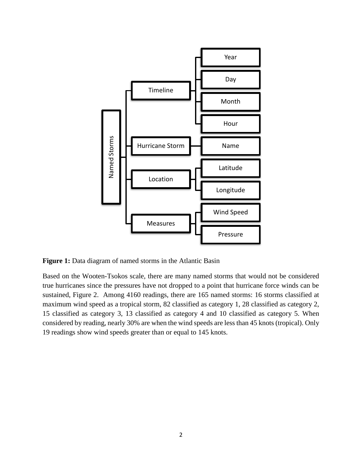

Figure 1: Data diagram of named storms in the Atlantic Basin

Based on the Wooten-Tsokos scale, there are many named storms that would not be considered true hurricanes since the pressures have not dropped to a point that hurricane force winds can be sustained, Figure 2. Among 4160 readings, there are 165 named storms: 16 storms classified at maximum wind speed as a tropical storm, 82 classified as category 1, 28 classified as category 2, 15 classified as category 3, 13 classified as category 4 and 10 classified as category 5. When considered by reading, nearly 30% are when the wind speeds are less than 45 knots (tropical). Only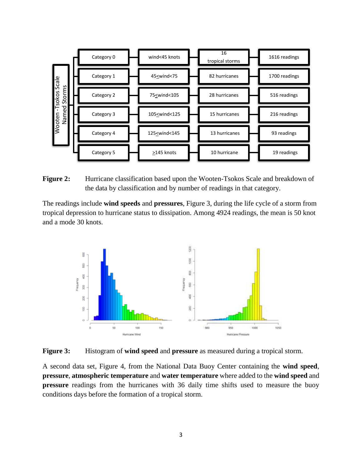| Scale<br>Storms<br>-Tsokos<br>Named<br>Wooten |  | Category 0 |  | wind<45 knots                                                                                                        |  | 16<br>tropical storms |  | 1616 readings |
|-----------------------------------------------|--|------------|--|----------------------------------------------------------------------------------------------------------------------|--|-----------------------|--|---------------|
|                                               |  | Category 1 |  | 45 <wind<75< td=""><td rowspan="4"></td><td>82 hurricanes</td><td rowspan="4"></td><td>1700 readings</td></wind<75<> |  | 82 hurricanes         |  | 1700 readings |
|                                               |  | Category 2 |  | 75 <wind<105< td=""><td>28 hurricanes</td><td>516 readings</td></wind<105<>                                          |  | 28 hurricanes         |  | 516 readings  |
|                                               |  | Category 3 |  | 105<br>umd<125                                                                                                       |  | 15 hurricanes         |  | 216 readings  |
|                                               |  | Category 4 |  | 125 <wind<145< td=""><td>13 hurricanes</td><td>93 readings</td></wind<145<>                                          |  | 13 hurricanes         |  | 93 readings   |
|                                               |  | Category 5 |  | >145 knots                                                                                                           |  | 10 hurricane          |  | 19 readings   |

**Figure 2:** Hurricane classification based upon the Wooten-Tsokos Scale and breakdown of the data by classification and by number of readings in that category.

The readings include **wind speeds** and **pressures**, Figure 3, during the life cycle of a storm from tropical depression to hurricane status to dissipation. Among 4924 readings, the mean is 50 knot and a mode 30 knots.



**Figure 3:** Histogram of **wind speed** and **pressure** as measured during a tropical storm.

A second data set, Figure 4, from the National Data Buoy Center containing the **wind speed**, **pressure**, **atmospheric temperature** and **water temperature** where added to the **wind speed** and **pressure** readings from the hurricanes with 36 daily time shifts used to measure the buoy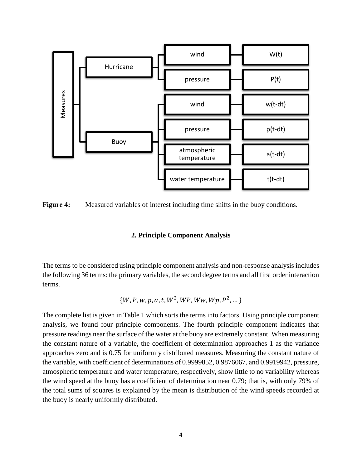

**Figure 4:** Measured variables of interest including time shifts in the buoy conditions.

## **2. Principle Component Analysis**

The terms to be considered using principle component analysis and non-response analysis includes the following 36 terms: the primary variables, the second degree terms and all first order interaction terms.

$$
\{W, P, w, p, a, t, W^2, WP, WW, Wp, P^2, \dots\}
$$

The complete list is given in Table 1 which sorts the terms into factors. Using principle component analysis, we found four principle components. The fourth principle component indicates that pressure readings near the surface of the water at the buoy are extremely constant. When measuring the constant nature of a variable, the coefficient of determination approaches 1 as the variance approaches zero and is 0.75 for uniformly distributed measures. Measuring the constant nature of the variable, with coefficient of determinations of 0.9999852, 0.9876067, and 0.9919942, pressure, atmospheric temperature and water temperature, respectively, show little to no variability whereas the wind speed at the buoy has a coefficient of determination near 0.79; that is, with only 79% of the total sums of squares is explained by the mean is distribution of the wind speeds recorded at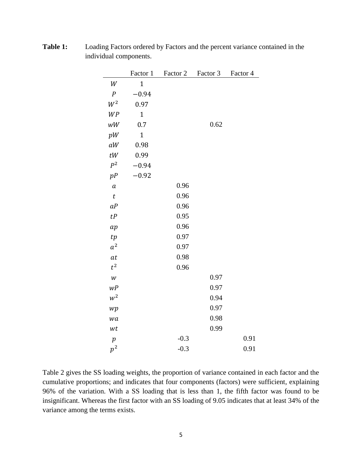|                  | Factor 1       | Factor 2 | Factor 3 | Factor 4 |
|------------------|----------------|----------|----------|----------|
| W                | $\overline{1}$ |          |          |          |
| $\boldsymbol{P}$ | $-0.94$        |          |          |          |
| $W^2$            | 0.97           |          |          |          |
| WP               | $\mathbf{1}$   |          |          |          |
| $wW$             | 0.7            |          | 0.62     |          |
| pW               | $\overline{1}$ |          |          |          |
| aW               | 0.98           |          |          |          |
| tW               | 0.99           |          |          |          |
| $P^2$            | $-0.94$        |          |          |          |
| pP               | $-0.92$        |          |          |          |
| $\boldsymbol{a}$ |                | 0.96     |          |          |
| $\boldsymbol{t}$ |                | 0.96     |          |          |
| aP               |                | 0.96     |          |          |
| tP               |                | 0.95     |          |          |
| ap               |                | 0.96     |          |          |
| tp               |                | 0.97     |          |          |
| $a^2$            |                | 0.97     |          |          |
| at               |                | 0.98     |          |          |
| $t^2$            |                | 0.96     |          |          |
| $\boldsymbol{w}$ |                |          | 0.97     |          |
| wP               |                |          | 0.97     |          |
| $w^2$            |                |          | 0.94     |          |
| wp               |                |          | 0.97     |          |
| wa               |                |          | 0.98     |          |
| wt               |                |          | 0.99     |          |
| $\boldsymbol{p}$ |                | $-0.3$   |          | 0.91     |
| $p^2$            |                | $-0.3$   |          | 0.91     |

**Table 1:** Loading Factors ordered by Factors and the percent variance contained in the individual components.

Table 2 gives the SS loading weights, the proportion of variance contained in each factor and the cumulative proportions; and indicates that four components (factors) were sufficient, explaining 96% of the variation. With a SS loading that is less than 1, the fifth factor was found to be insignificant. Whereas the first factor with an SS loading of 9.05 indicates that at least 34% of the variance among the terms exists.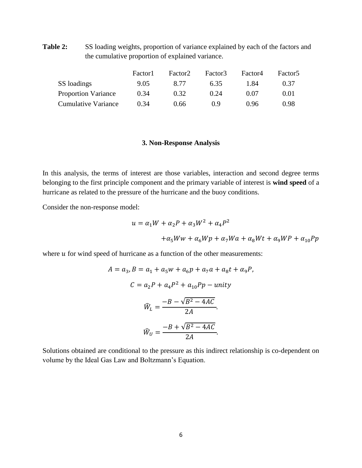**Table 2:** SS loading weights, proportion of variance explained by each of the factors and the cumulative proportion of explained variance.

|                            | Factor1 | Factor <sub>2</sub> | Factor3 | Factor4 | Factor <sub>5</sub> |
|----------------------------|---------|---------------------|---------|---------|---------------------|
| SS loadings                | 9.05    | 8.77                | 6.35    | 1.84    | 0.37                |
| <b>Proportion Variance</b> | 0.34    | 0.32                | 0.24    | 0.07    | 0.01                |
| <b>Cumulative Variance</b> | 0.34    | 0.66                | () 9    | በ 96    | 0.98                |

### **3. Non-Response Analysis**

In this analysis, the terms of interest are those variables, interaction and second degree terms belonging to the first principle component and the primary variable of interest is **wind speed** of a hurricane as related to the pressure of the hurricane and the buoy conditions.

Consider the non-response model:

$$
u = \alpha_1 W + \alpha_2 P + \alpha_3 W^2 + \alpha_4 P^2
$$
  
+
$$
\alpha_5 Ww + \alpha_6 Wp + \alpha_7 Wa + \alpha_8 Wt + \alpha_9 WP + \alpha_{10} Pp
$$

where  $u$  for wind speed of hurricane as a function of the other measurements:

$$
A = a_3, B = a_1 + a_5w + a_6p + a_7a + a_8t + \alpha_9P,
$$
  
\n
$$
C = a_2P + a_4P^2 + a_{10}Pp - unity
$$
  
\n
$$
\hat{W}_L = \frac{-B - \sqrt{B^2 - 4AC}}{2A}.
$$
  
\n
$$
\hat{W}_U = \frac{-B + \sqrt{B^2 - 4AC}}{2A}.
$$

Solutions obtained are conditional to the pressure as this indirect relationship is co-dependent on volume by the Ideal Gas Law and Boltzmann's Equation.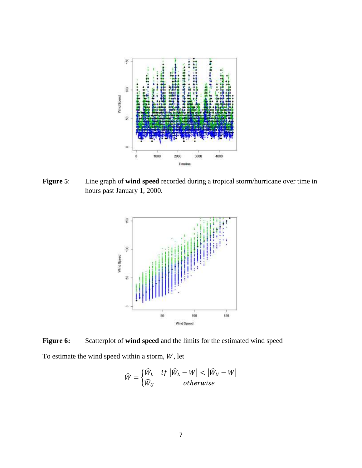

**Figure 5**: Line graph of **wind speed** recorded during a tropical storm/hurricane over time in hours past January 1, 2000.



**Figure 6:** Scatterplot of **wind speed** and the limits for the estimated wind speed To estimate the wind speed within a storm,  $W$ , let

$$
\widehat{W} = \begin{cases} \widehat{W}_L & \text{if } |\widehat{W}_L - W| < |\widehat{W}_U - W| \\ \widehat{W}_U & \text{otherwise} \end{cases}
$$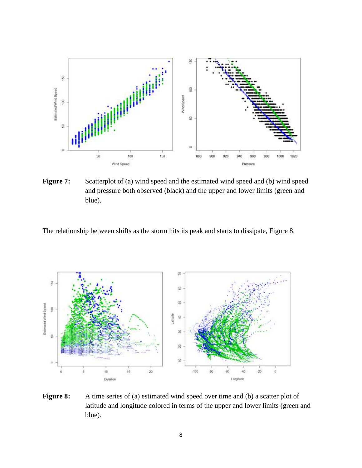

Figure 7: Scatterplot of (a) wind speed and the estimated wind speed and (b) wind speed and pressure both observed (black) and the upper and lower limits (green and blue).

The relationship between shifts as the storm hits its peak and starts to dissipate, Figure 8.



**Figure 8:** A time series of (a) estimated wind speed over time and (b) a scatter plot of latitude and longitude colored in terms of the upper and lower limits (green and blue).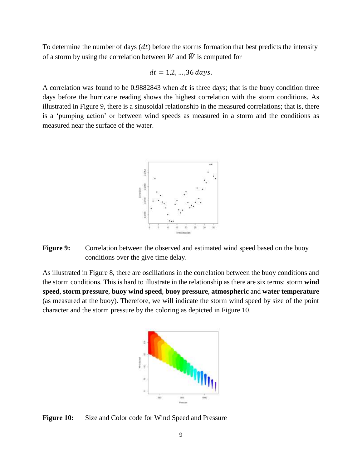To determine the number of days  $(dt)$  before the storms formation that best predicts the intensity of a storm by using the correlation between W and  $\hat{W}$  is computed for

$$
dt = 1, 2, ..., 36 \, days.
$$

A correlation was found to be  $0.9882843$  when dt is three days; that is the buoy condition three days before the hurricane reading shows the highest correlation with the storm conditions. As illustrated in Figure 9, there is a sinusoidal relationship in the measured correlations; that is, there is a 'pumping action' or between wind speeds as measured in a storm and the conditions as measured near the surface of the water.



**Figure 9:** Correlation between the observed and estimated wind speed based on the buoy conditions over the give time delay.

As illustrated in Figure 8, there are oscillations in the correlation between the buoy conditions and the storm conditions. This is hard to illustrate in the relationship as there are six terms: storm **wind speed**, **storm pressure**, **buoy wind speed**, **buoy pressure**, **atmospheric** and **water temperature** (as measured at the buoy). Therefore, we will indicate the storm wind speed by size of the point character and the storm pressure by the coloring as depicted in Figure 10.



Figure 10: Size and Color code for Wind Speed and Pressure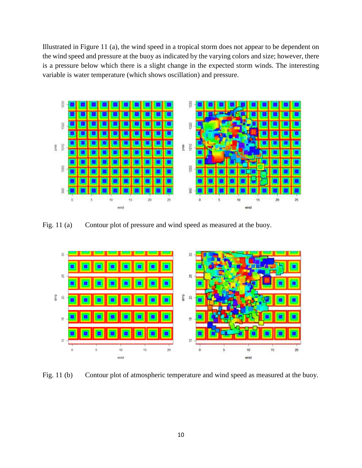Illustrated in Figure 11 (a), the wind speed in a tropical storm does not appear to be dependent on the wind speed and pressure at the buoy as indicated by the varying colors and size; however, there is a pressure below which there is a slight change in the expected storm winds. The interesting variable is water temperature (which shows oscillation) and pressure.



Fig. 11 (a) Contour plot of pressure and wind speed as measured at the buoy.



Fig. 11 (b) Contour plot of atmospheric temperature and wind speed as measured at the buoy.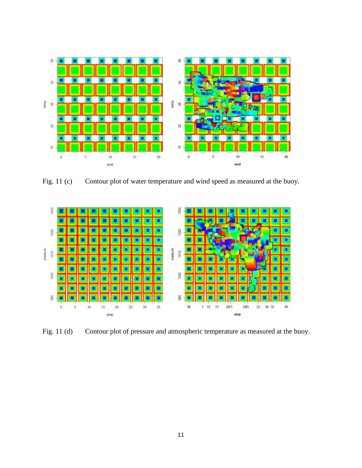

Fig. 11 (c) Contour plot of water temperature and wind speed as measured at the buoy.



Fig. 11 (d) Contour plot of pressure and atmospheric temperature as measured at the buoy.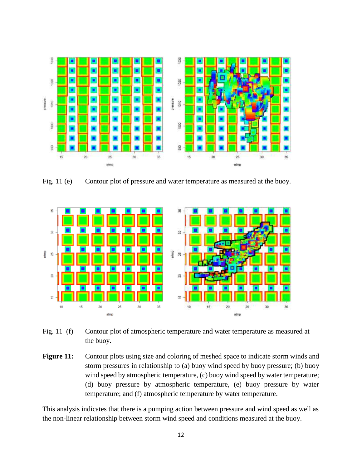

Fig. 11 (e) Contour plot of pressure and water temperature as measured at the buoy.



- Fig. 11 (f) Contour plot of atmospheric temperature and water temperature as measured at the buoy.
- Figure 11: Contour plots using size and coloring of meshed space to indicate storm winds and storm pressures in relationship to (a) buoy wind speed by buoy pressure; (b) buoy wind speed by atmospheric temperature, (c) buoy wind speed by water temperature; (d) buoy pressure by atmospheric temperature, (e) buoy pressure by water temperature; and (f) atmospheric temperature by water temperature.

This analysis indicates that there is a pumping action between pressure and wind speed as well as the non-linear relationship between storm wind speed and conditions measured at the buoy.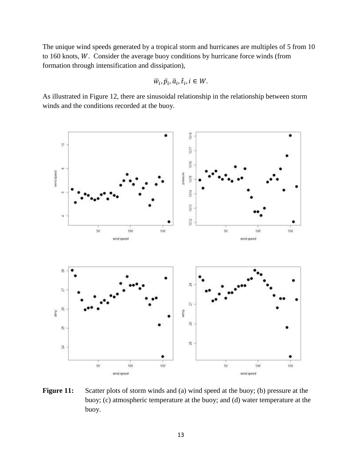The unique wind speeds generated by a tropical storm and hurricanes are multiples of 5 from 10 to 160 knots,  $W$ . Consider the average buoy conditions by hurricane force winds (from formation through intensification and dissipation),

$$
\overline{w}_i, \overline{p}_i, \overline{a}_i, \overline{t}_i, i \in W.
$$

As illustrated in Figure 12, there are sinusoidal relationship in the relationship between storm winds and the conditions recorded at the buoy.



Figure 11: Scatter plots of storm winds and (a) wind speed at the buoy; (b) pressure at the buoy; (c) atmospheric temperature at the buoy; and (d) water temperature at the buoy.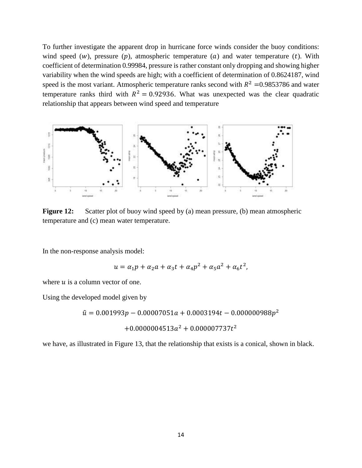To further investigate the apparent drop in hurricane force winds consider the buoy conditions: wind speed (w), pressure (p), atmospheric temperature (a) and water temperature (t). With coefficient of determination 0.99984, pressure is rather constant only dropping and showing higher variability when the wind speeds are high; with a coefficient of determination of 0.8624187, wind speed is the most variant. Atmospheric temperature ranks second with  $R^2 = 0.9853786$  and water temperature ranks third with  $R^2 = 0.92936$ . What was unexpected was the clear quadratic relationship that appears between wind speed and temperature



**Figure 12:** Scatter plot of buoy wind speed by (a) mean pressure, (b) mean atmospheric temperature and (c) mean water temperature.

In the non-response analysis model:

$$
u = \alpha_1 p + \alpha_2 a + \alpha_3 t + \alpha_4 p^2 + \alpha_5 a^2 + \alpha_6 t^2,
$$

where  $u$  is a column vector of one.

Using the developed model given by

 $\hat{u} = 0.001993p - 0.00007051a + 0.0003194t - 0.000000988p^2$ 

$$
+0.0000004513a^2+0.000007737t^2
$$

we have, as illustrated in Figure 13, that the relationship that exists is a conical, shown in black.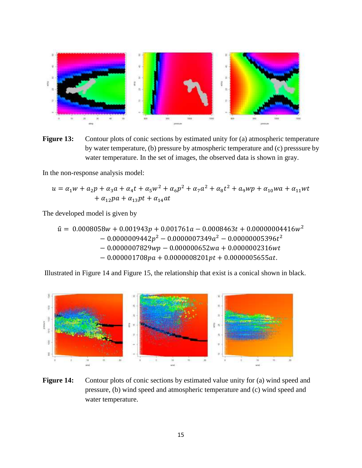

**Figure 13:** Contour plots of conic sections by estimated unity for (a) atmospheric temperature by water temperature, (b) pressure by atmospheric temperature and (c) presssure by water temperature. In the set of images, the observed data is shown in gray.

In the non-response analysis model:

$$
u = \alpha_1 w + \alpha_2 p + \alpha_3 a + \alpha_4 t + \alpha_5 w^2 + \alpha_6 p^2 + \alpha_7 a^2 + \alpha_8 t^2 + \alpha_9 w p + \alpha_{10} w a + \alpha_{11} w t + \alpha_{12} p a + \alpha_{13} p t + \alpha_{14} a t
$$

The developed model is given by

 $\hat{u} = 0.0008058w + 0.001943p + 0.001761a - 0.0008463t + 0.00000004416w^2$  $-0.0000009442p^2 - 0.0000007349a^2 - 0.00000005396t^2$  $-0.0000007829wp - 0.000000652wa + 0.0000002316wt$  $-0.000001708 pa + 0.0000008201 pt + 0.0000005655 at.$ 

Illustrated in Figure 14 and Figure 15, the relationship that exist is a conical shown in black.



**Figure 14:** Contour plots of conic sections by estimated value unity for (a) wind speed and pressure, (b) wind speed and atmospheric temperature and (c) wind speed and water temperature.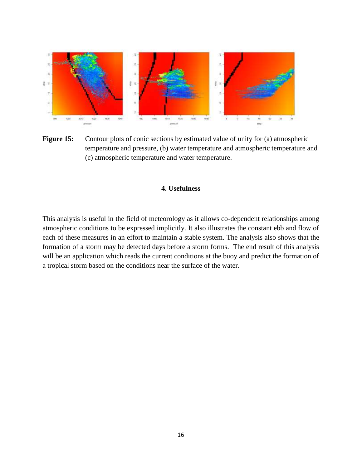

Figure 15: Contour plots of conic sections by estimated value of unity for (a) atmospheric temperature and pressure, (b) water temperature and atmospheric temperature and (c) atmospheric temperature and water temperature.

### **4. Usefulness**

This analysis is useful in the field of meteorology as it allows co-dependent relationships among atmospheric conditions to be expressed implicitly. It also illustrates the constant ebb and flow of each of these measures in an effort to maintain a stable system. The analysis also shows that the formation of a storm may be detected days before a storm forms. The end result of this analysis will be an application which reads the current conditions at the buoy and predict the formation of a tropical storm based on the conditions near the surface of the water.